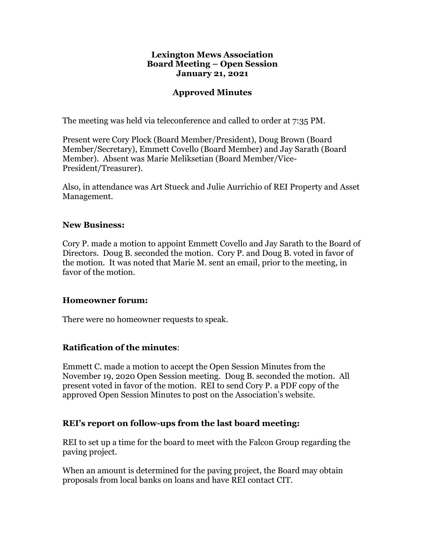#### **Lexington Mews Association Board Meeting – Open Session January 21, 2021**

### **Approved Minutes**

The meeting was held via teleconference and called to order at 7:35 PM.

Present were Cory Plock (Board Member/President), Doug Brown (Board Member/Secretary), Emmett Covello (Board Member) and Jay Sarath (Board Member). Absent was Marie Meliksetian (Board Member/Vice-President/Treasurer).

Also, in attendance was Art Stueck and Julie Aurrichio of REI Property and Asset Management.

#### **New Business:**

Cory P. made a motion to appoint Emmett Covello and Jay Sarath to the Board of Directors. Doug B. seconded the motion. Cory P. and Doug B. voted in favor of the motion. It was noted that Marie M. sent an email, prior to the meeting, in favor of the motion.

#### **Homeowner forum:**

There were no homeowner requests to speak.

### **Ratification of the minutes**:

Emmett C. made a motion to accept the Open Session Minutes from the November 19, 2020 Open Session meeting. Doug B. seconded the motion. All present voted in favor of the motion. REI to send Cory P. a PDF copy of the approved Open Session Minutes to post on the Association's website.

### **REI's report on follow-ups from the last board meeting:**

REI to set up a time for the board to meet with the Falcon Group regarding the paving project.

When an amount is determined for the paving project, the Board may obtain proposals from local banks on loans and have REI contact CIT.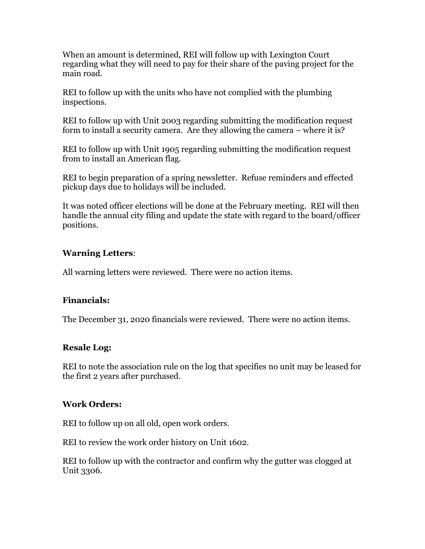When an amount is determined, REI will follow up with Lexington Court regarding what they will need to pay for their share of the paving project for the main road.

REI to follow up with the units who have not complied with the plumbing inspections.

REI to follow up with Unit 2003 regarding submitting the modification request form to install a security camera. Are they allowing the camera – where it is?

REI to follow up with Unit 1905 regarding submitting the modification request from to install an American flag.

REI to begin preparation of a spring newsletter. Refuse reminders and effected pickup days due to holidays will be included.

It was noted officer elections will be done at the February meeting. REI will then handle the annual city filing and update the state with regard to the board/officer positions.

# **Warning Letters**:

All warning letters were reviewed. There were no action items.

# **Financials:**

The December 31, 2020 financials were reviewed. There were no action items.

# **Resale Log:**

REI to note the association rule on the log that specifies no unit may be leased for the first 2 years after purchased.

# **Work Orders:**

REI to follow up on all old, open work orders.

REI to review the work order history on Unit 1602.

REI to follow up with the contractor and confirm why the gutter was clogged at Unit 3306.